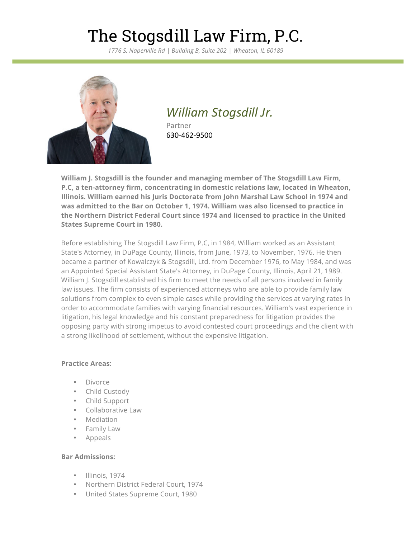*1776 S. Naperville Rd | Building B, Suite 202 | Wheaton, IL 60189*



## *William Stogsdill Jr.*

Partner 630-462-9500

**William J. Stogsdill is the founder and managing member of The Stogsdill Law Firm, P.C, a ten-attorney firm, concentrating in domestic relations law, located in Wheaton, Illinois. William earned his Juris Doctorate from John Marshal Law School in 1974 and was admitted to the Bar on October 1, 1974. William was also licensed to practice in the Northern District Federal Court since 1974 and licensed to practice in the United States Supreme Court in 1980.**

Before establishing The Stogsdill Law Firm, P.C, in 1984, William worked as an Assistant State's Attorney, in DuPage County, Illinois, from June, 1973, to November, 1976. He then became a partner of Kowalczyk & Stogsdill, Ltd. from December 1976, to May 1984, and was an Appointed Special Assistant State's Attorney, in DuPage County, Illinois, April 21, 1989. William J. Stogsdill established his firm to meet the needs of all persons involved in family law issues. The firm consists of experienced attorneys who are able to provide family law solutions from complex to even simple cases while providing the services at varying rates in order to accommodate families with varying financial resources. William's vast experience in litigation, his legal knowledge and his constant preparedness for litigation provides the opposing party with strong impetus to avoid contested court proceedings and the client with a strong likelihood of settlement, without the expensive litigation.

#### **Practice Areas:**

- Divorce
- Child Custody
- Child Support
- Collaborative Law
- Mediation
- Family Law
- Appeals

#### **Bar Admissions:**

- Illinois, 1974
- Northern District Federal Court, 1974
- United States Supreme Court, 1980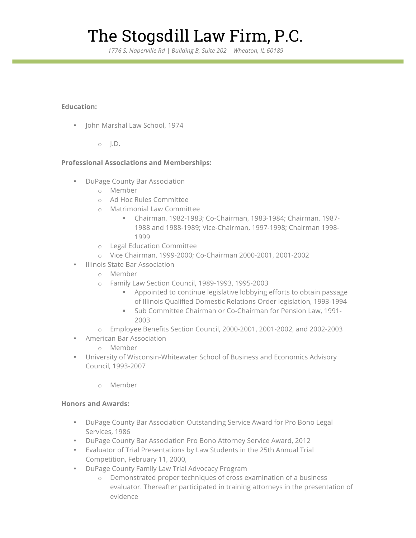*1776 S. Naperville Rd | Building B, Suite 202 | Wheaton, IL 60189*

### **Education:**

- John Marshal Law School, 1974
	- o J.D.

### **Professional Associations and Memberships:**

- DuPage County Bar Association
	- o Member
	- o Ad Hoc Rules Committee
	- o Matrimonial Law Committee
		- § Chairman, 1982-1983; Co-Chairman, 1983-1984; Chairman, 1987- 1988 and 1988-1989; Vice-Chairman, 1997-1998; Chairman 1998- 1999
	- o Legal Education Committee
	- o Vice Chairman, 1999-2000; Co-Chairman 2000-2001, 2001-2002
- Illinois State Bar Association
	- o Member
	- o Family Law Section Council, 1989-1993, 1995-2003
		- § Appointed to continue legislative lobbying efforts to obtain passage of Illinois Qualified Domestic Relations Order legislation, 1993-1994
		- § Sub Committee Chairman or Co-Chairman for Pension Law, 1991- 2003
	- o Employee Benefits Section Council, 2000-2001, 2001-2002, and 2002-2003
- American Bar Association
	- o Member
- University of Wisconsin-Whitewater School of Business and Economics Advisory Council, 1993-2007
	- o Member

### **Honors and Awards:**

- DuPage County Bar Association Outstanding Service Award for Pro Bono Legal Services, 1986
- DuPage County Bar Association Pro Bono Attorney Service Award, 2012
- Evaluator of Trial Presentations by Law Students in the 25th Annual Trial Competition, February 11, 2000,
- DuPage County Family Law Trial Advocacy Program
	- o Demonstrated proper techniques of cross examination of a business evaluator. Thereafter participated in training attorneys in the presentation of evidence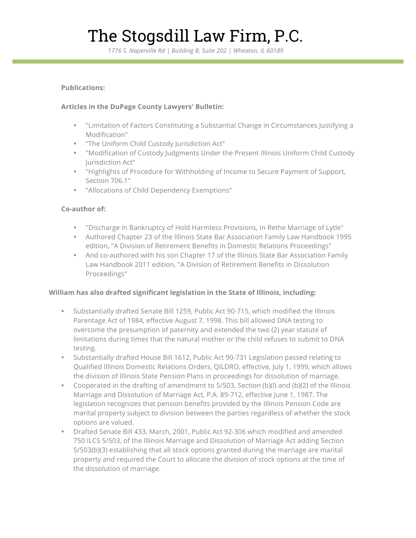*1776 S. Naperville Rd | Building B, Suite 202 | Wheaton, IL 60189*

#### **Publications:**

### **Articles in the DuPage County Lawyers' Bulletin:**

- "Limitation of Factors Constituting a Substantial Change in Circumstances Justifying a Modification"
- "The Uniform Child Custody Jurisdiction Act"
- "Modification of Custody Judgments Under the Present Illinois Uniform Child Custody Jurisdiction Act"
- "Highlights of Procedure for Withholding of Income to Secure Payment of Support, Section 706.1"
- "Allocations of Child Dependency Exemptions"

### **Co-author of:**

- "Discharge in Bankruptcy of Hold Harmless Provisions, In Rethe Marriage of Lytle"
- Authored Chapter 23 of the Illinois State Bar Association Family Law Handbook 1995 edition, "A Division of Retirement Benefits in Domestic Relations Proceedings"
- And co-authored with his son Chapter 17 of the Illinois State Bar Association Family Law Handbook 2011 edition, "A Division of Retirement Benefits in Dissolution Proceedings"

#### **William has also drafted significant legislation in the State of Illinois, including:**

- Substantially drafted Senate Bill 1259, Public Act 90-715, which modified the Illinois Parentage Act of 1984, effective August 7, 1998. This bill allowed DNA testing to overcome the presumption of paternity and extended the two (2) year statute of limitations during times that the natural mother or the child refuses to submit to DNA testing.
- Substantially drafted House Bill 1612, Public Act 90-731 Legislation passed relating to Qualified Illinois Domestic Relations Orders, QILDRO, effective, July 1, 1999, which allows the division of Illinois State Pension Plans in proceedings for dissolution of marriage.
- Cooperated in the drafting of amendment to 5/503, Section (b)(l) and (b)(2) of the Illinois Marriage and Dissolution of Marriage Act, P.A. 89-712, effective June 1, 1987. The legislation recognizes that pension benefits provided by the Illinois Pension Code are marital property subject to division between the parties regardless of whether the stock options are valued.
- Drafted Senate Bill 433, March, 2001, Public Act 92-306 which modified and amended 750 ILCS 5/503, of the Illinois Marriage and Dissolution of Marriage Act adding Section 5/503(b)(3) establishing that all stock options granted during the marriage are marital property and required the Court to allocate the division of stock options at the time of the dissolution of marriage.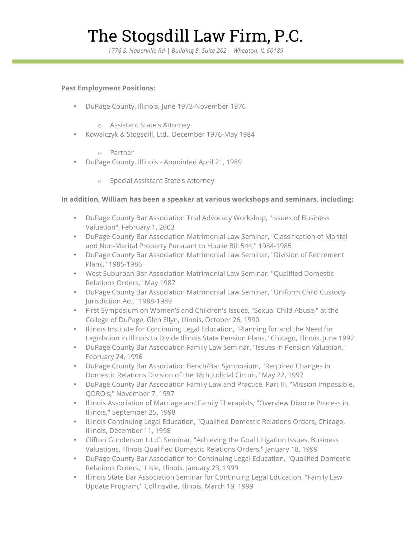*1776 S. Naperville Rd | Building B, Suite 202 | Wheaton, IL 60189*

#### **Past Employment Positions:**

- DuPage County, Illinois, June 1973-November 1976
	- o Assistant State's Attorney
- Kowalczyk & Stogsdill, Ltd., December 1976-May 1984
	- o Partner
- DuPage County, Illinois Appointed April 21, 1989
	- o Special Assistant State's Attorney

#### **In addition, William has been a speaker at various workshops and seminars, including:**

- DuPage County Bar Association Trial Advocacy Workshop, "Issues of Business Valuation", February 1, 2003
- DuPage County Bar Association Matrimonial Law Seminar, "Classification of Marital and Non-Marital Property Pursuant to House Bill 544," 1984-1985
- DuPage County Bar Association Matrimonial Law Seminar, "Division of Retirement Plans," 1985-1986
- West Suburban Bar Association Matrimonial Law Seminar, "Qualified Domestic Relations Orders," May 1987
- DuPage County Bar Association Matrimonial Law Seminar, "Uniform Child Custody Jurisdiction Act," 1988-1989
- First Symposium on Women's and Children's Issues, "Sexual Child Abuse," at the College of DuPage, Glen Ellyn, Illinois, October 26, 1990
- Illinois Institute for Continuing Legal Education, "Planning for and the Need for Legislation in Illinois to Divide Illinois State Pension Plans," Chicago, Illinois, June 1992
- DuPage County Bar Association Family Law Seminar, "Issues in Pension Valuation," February 24, 1996
- DuPage County Bar Association Bench/Bar Symposium, "Required Changes in Domestic Relations Division of the 18th Judicial Circuit," May 22, 1997
- DuPage County Bar Association Family Law and Practice, Part III, "Mission Impossible, QDRO's," November 7, 1997
- Illinois Association of Marriage and Family Therapists, "Overview Divorce Process in Illinois," September 25, 1998
- Illinois Continuing Legal Education, "Qualified Domestic Relations Orders, Chicago, Illinois, December 11, 1998
- Clifton Gunderson L.L.C. Seminar, "Achieving the Goal Litigation Issues, Business Valuations, Illinois Qualified Domestic Relations Orders," January 18, 1999
- DuPage County Bar Association for Continuing Legal Education, "Qualified Domestic Relations Orders," Lisle, Illinois, January 23, 1999
- Illinois State Bar Association Seminar for Continuing Legal Education, "Family Law Update Program," Collinsville, Illinois, March 19, 1999